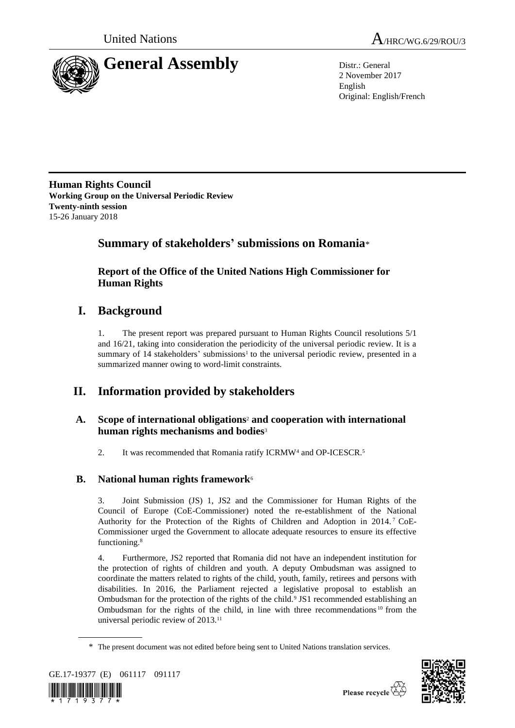



2 November 2017 English Original: English/French

**Human Rights Council Working Group on the Universal Periodic Review Twenty-ninth session** 15-26 January 2018

## **Summary of stakeholders' submissions on Romania**\*

**Report of the Office of the United Nations High Commissioner for Human Rights**

## **I. Background**

1. The present report was prepared pursuant to Human Rights Council resolutions 5/1 and 16/21, taking into consideration the periodicity of the universal periodic review. It is a summary of 14 stakeholders' submissions<sup>1</sup> to the universal periodic review, presented in a summarized manner owing to word-limit constraints.

# **II. Information provided by stakeholders**

### **A. Scope of international obligations**<sup>2</sup> **and cooperation with international human rights mechanisms and bodies**<sup>3</sup>

2. It was recommended that Romania ratify ICRMW<sup>4</sup> and OP-ICESCR.<sup>5</sup>

### **B. National human rights framework**<sup>6</sup>

3. Joint Submission (JS) 1, JS2 and the Commissioner for Human Rights of the Council of Europe (CoE-Commissioner) noted the re-establishment of the National Authority for the Protection of the Rights of Children and Adoption in 2014. <sup>7</sup> CoE-Commissioner urged the Government to allocate adequate resources to ensure its effective functioning.<sup>8</sup>

4. Furthermore, JS2 reported that Romania did not have an independent institution for the protection of rights of children and youth. A deputy Ombudsman was assigned to coordinate the matters related to rights of the child, youth, family, retirees and persons with disabilities. In 2016, the Parliament rejected a legislative proposal to establish an Ombudsman for the protection of the rights of the child.<sup>9</sup> JS1 recommended establishing an Ombudsman for the rights of the child, in line with three recommendations <sup>10</sup> from the universal periodic review of 2013.<sup>11</sup>

<sup>\*</sup> The present document was not edited before being sent to United Nations translation services.



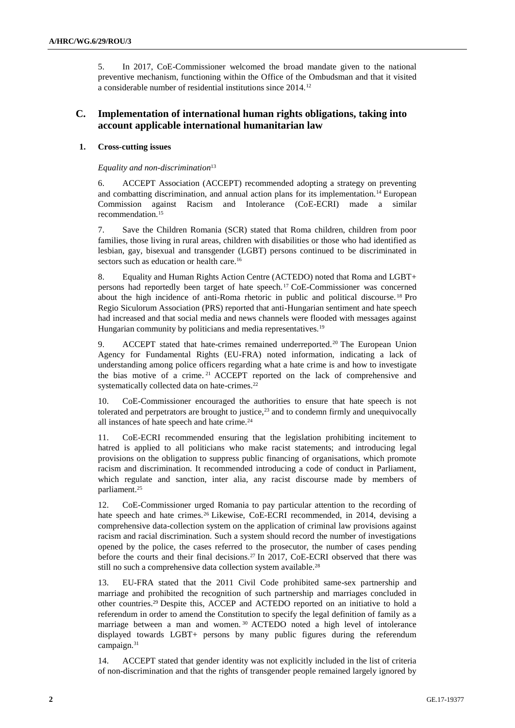5. In 2017, CoE-Commissioner welcomed the broad mandate given to the national preventive mechanism, functioning within the Office of the Ombudsman and that it visited a considerable number of residential institutions since 2014.<sup>12</sup>

### **C. Implementation of international human rights obligations, taking into account applicable international humanitarian law**

#### **1. Cross-cutting issues**

*Equality and non-discrimination*<sup>13</sup>

6. ACCEPT Association (ACCEPT) recommended adopting a strategy on preventing and combatting discrimination, and annual action plans for its implementation.<sup>14</sup> European Commission against Racism and Intolerance (CoE-ECRI) made a similar recommendation.<sup>15</sup>

7. Save the Children Romania (SCR) stated that Roma children, children from poor families, those living in rural areas, children with disabilities or those who had identified as lesbian, gay, bisexual and transgender (LGBT) persons continued to be discriminated in sectors such as education or health care.<sup>16</sup>

8. Equality and Human Rights Action Centre (ACTEDO) noted that Roma and LGBT+ persons had reportedly been target of hate speech. <sup>17</sup> CoE-Commissioner was concerned about the high incidence of anti-Roma rhetoric in public and political discourse. <sup>18</sup> Pro Regio Siculorum Association (PRS) reported that anti-Hungarian sentiment and hate speech had increased and that social media and news channels were flooded with messages against Hungarian community by politicians and media representatives.<sup>19</sup>

9. ACCEPT stated that hate-crimes remained underreported.<sup>20</sup> The European Union Agency for Fundamental Rights (EU-FRA) noted information, indicating a lack of understanding among police officers regarding what a hate crime is and how to investigate the bias motive of a crime. <sup>21</sup> ACCEPT reported on the lack of comprehensive and systematically collected data on hate-crimes.<sup>22</sup>

10. CoE-Commissioner encouraged the authorities to ensure that hate speech is not tolerated and perpetrators are brought to justice, $2<sup>3</sup>$  and to condemn firmly and unequivocally all instances of hate speech and hate crime.<sup>24</sup>

11. CoE-ECRI recommended ensuring that the legislation prohibiting incitement to hatred is applied to all politicians who make racist statements; and introducing legal provisions on the obligation to suppress public financing of organisations, which promote racism and discrimination. It recommended introducing a code of conduct in Parliament, which regulate and sanction, inter alia, any racist discourse made by members of parliament.<sup>25</sup>

12. CoE-Commissioner urged Romania to pay particular attention to the recording of hate speech and hate crimes.<sup>26</sup> Likewise, CoE-ECRI recommended, in 2014, devising a comprehensive data-collection system on the application of criminal law provisions against racism and racial discrimination. Such a system should record the number of investigations opened by the police, the cases referred to the prosecutor, the number of cases pending before the courts and their final decisions.<sup>27</sup> In 2017, CoE-ECRI observed that there was still no such a comprehensive data collection system available.<sup>28</sup>

13. EU-FRA stated that the 2011 Civil Code prohibited same-sex partnership and marriage and prohibited the recognition of such partnership and marriages concluded in other countries.<sup>29</sup> Despite this, ACCEP and ACTEDO reported on an initiative to hold a referendum in order to amend the Constitution to specify the legal definition of family as a marriage between a man and women. <sup>30</sup> ACTEDO noted a high level of intolerance displayed towards LGBT+ persons by many public figures during the referendum campaign.<sup>31</sup>

14. ACCEPT stated that gender identity was not explicitly included in the list of criteria of non-discrimination and that the rights of transgender people remained largely ignored by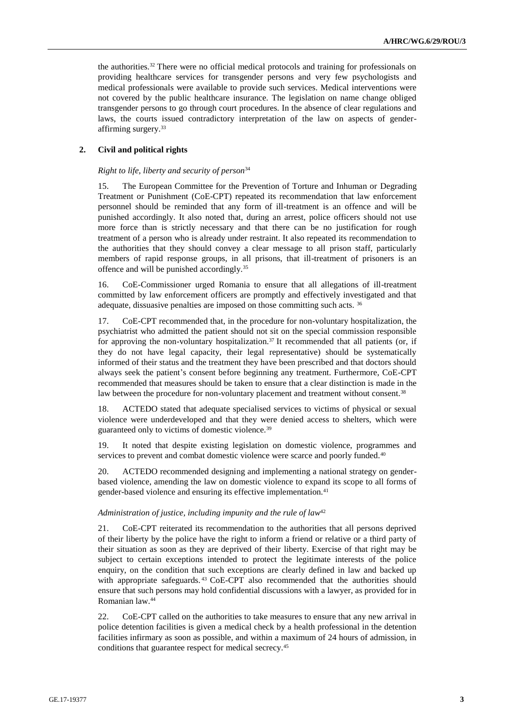the authorities.<sup>32</sup> There were no official medical protocols and training for professionals on providing healthcare services for transgender persons and very few psychologists and medical professionals were available to provide such services. Medical interventions were not covered by the public healthcare insurance. The legislation on name change obliged transgender persons to go through court procedures. In the absence of clear regulations and laws, the courts issued contradictory interpretation of the law on aspects of genderaffirming surgery.<sup>33</sup>

#### **2. Civil and political rights**

#### *Right to life, liberty and security of person*<sup>34</sup>

15. The European Committee for the Prevention of Torture and Inhuman or Degrading Treatment or Punishment (CoE-CPT) repeated its recommendation that law enforcement personnel should be reminded that any form of ill-treatment is an offence and will be punished accordingly. It also noted that, during an arrest, police officers should not use more force than is strictly necessary and that there can be no justification for rough treatment of a person who is already under restraint. It also repeated its recommendation to the authorities that they should convey a clear message to all prison staff, particularly members of rapid response groups, in all prisons, that ill-treatment of prisoners is an offence and will be punished accordingly.<sup>35</sup>

16. CoE-Commissioner urged Romania to ensure that all allegations of ill-treatment committed by law enforcement officers are promptly and effectively investigated and that adequate, dissuasive penalties are imposed on those committing such acts. <sup>36</sup>

17. CoE-CPT recommended that, in the procedure for non-voluntary hospitalization, the psychiatrist who admitted the patient should not sit on the special commission responsible for approving the non-voluntary hospitalization.<sup>37</sup> It recommended that all patients (or, if they do not have legal capacity, their legal representative) should be systematically informed of their status and the treatment they have been prescribed and that doctors should always seek the patient's consent before beginning any treatment. Furthermore, CoE-CPT recommended that measures should be taken to ensure that a clear distinction is made in the law between the procedure for non-voluntary placement and treatment without consent.<sup>38</sup>

18. ACTEDO stated that adequate specialised services to victims of physical or sexual violence were underdeveloped and that they were denied access to shelters, which were guaranteed only to victims of domestic violence.<sup>39</sup>

19. It noted that despite existing legislation on domestic violence, programmes and services to prevent and combat domestic violence were scarce and poorly funded.<sup>40</sup>

20. ACTEDO recommended designing and implementing a national strategy on genderbased violence, amending the law on domestic violence to expand its scope to all forms of gender-based violence and ensuring its effective implementation.<sup>41</sup>

#### *Administration of justice, including impunity and the rule of law*<sup>42</sup>

21. CoE-CPT reiterated its recommendation to the authorities that all persons deprived of their liberty by the police have the right to inform a friend or relative or a third party of their situation as soon as they are deprived of their liberty. Exercise of that right may be subject to certain exceptions intended to protect the legitimate interests of the police enquiry, on the condition that such exceptions are clearly defined in law and backed up with appropriate safeguards. <sup>43</sup> CoE-CPT also recommended that the authorities should ensure that such persons may hold confidential discussions with a lawyer, as provided for in Romanian law.<sup>44</sup>

22. CoE-CPT called on the authorities to take measures to ensure that any new arrival in police detention facilities is given a medical check by a health professional in the detention facilities infirmary as soon as possible, and within a maximum of 24 hours of admission, in conditions that guarantee respect for medical secrecy.<sup>45</sup>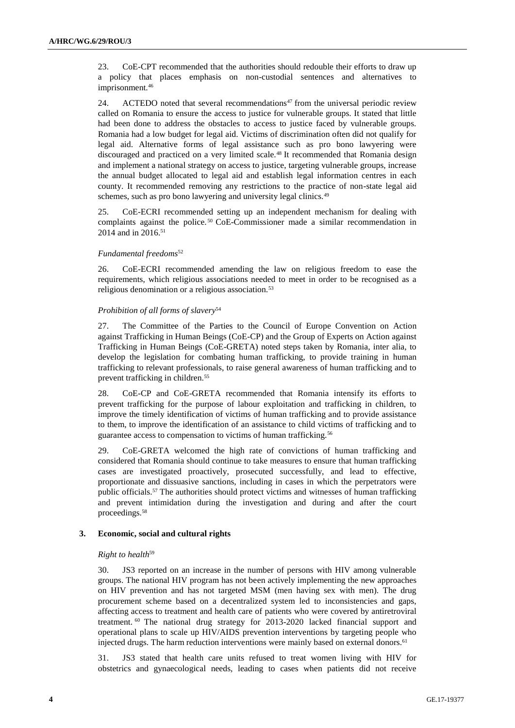23. CoE-CPT recommended that the authorities should redouble their efforts to draw up a policy that places emphasis on non-custodial sentences and alternatives to imprisonment.<sup>46</sup>

24. ACTEDO noted that several recommendations $47$  from the universal periodic review called on Romania to ensure the access to justice for vulnerable groups. It stated that little had been done to address the obstacles to access to justice faced by vulnerable groups. Romania had a low budget for legal aid. Victims of discrimination often did not qualify for legal aid. Alternative forms of legal assistance such as pro bono lawyering were discouraged and practiced on a very limited scale.<sup>48</sup> It recommended that Romania design and implement a national strategy on access to justice, targeting vulnerable groups, increase the annual budget allocated to legal aid and establish legal information centres in each county. It recommended removing any restrictions to the practice of non-state legal aid schemes, such as pro bono lawyering and university legal clinics.<sup>49</sup>

25. CoE-ECRI recommended setting up an independent mechanism for dealing with complaints against the police. <sup>50</sup> CoE-Commissioner made a similar recommendation in 2014 and in 2016.<sup>51</sup>

#### *Fundamental freedoms*<sup>52</sup>

26. CoE-ECRI recommended amending the law on religious freedom to ease the requirements, which religious associations needed to meet in order to be recognised as a religious denomination or a religious association.<sup>53</sup>

#### *Prohibition of all forms of slavery*<sup>54</sup>

27. The Committee of the Parties to the Council of Europe Convention on Action against Trafficking in Human Beings (CoE-CP) and the Group of Experts on Action against Trafficking in Human Beings (CoE-GRETA) noted steps taken by Romania, inter alia, to develop the legislation for combating human trafficking, to provide training in human trafficking to relevant professionals, to raise general awareness of human trafficking and to prevent trafficking in children.<sup>55</sup>

28. CoE-CP and CoE-GRETA recommended that Romania intensify its efforts to prevent trafficking for the purpose of labour exploitation and trafficking in children, to improve the timely identification of victims of human trafficking and to provide assistance to them, to improve the identification of an assistance to child victims of trafficking and to guarantee access to compensation to victims of human trafficking.<sup>56</sup>

29. CoE-GRETA welcomed the high rate of convictions of human trafficking and considered that Romania should continue to take measures to ensure that human trafficking cases are investigated proactively, prosecuted successfully, and lead to effective, proportionate and dissuasive sanctions, including in cases in which the perpetrators were public officials.<sup>57</sup> The authorities should protect victims and witnesses of human trafficking and prevent intimidation during the investigation and during and after the court proceedings.<sup>58</sup>

#### **3. Economic, social and cultural rights**

#### *Right to health*<sup>59</sup>

30. JS3 reported on an increase in the number of persons with HIV among vulnerable groups. The national HIV program has not been actively implementing the new approaches on HIV prevention and has not targeted MSM (men having sex with men). The drug procurement scheme based on a decentralized system led to inconsistencies and gaps, affecting access to treatment and health care of patients who were covered by antiretroviral treatment. <sup>60</sup> The national drug strategy for 2013-2020 lacked financial support and operational plans to scale up HIV/AIDS prevention interventions by targeting people who injected drugs. The harm reduction interventions were mainly based on external donors.<sup>61</sup>

31. JS3 stated that health care units refused to treat women living with HIV for obstetrics and gynaecological needs, leading to cases when patients did not receive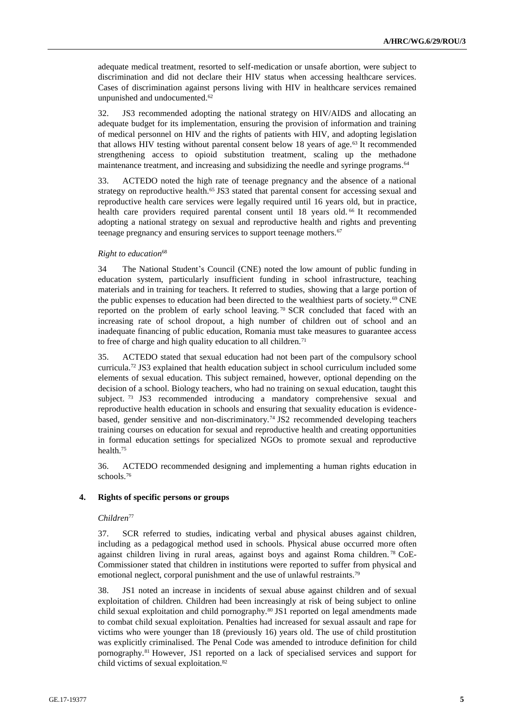adequate medical treatment, resorted to self-medication or unsafe abortion, were subject to discrimination and did not declare their HIV status when accessing healthcare services. Cases of discrimination against persons living with HIV in healthcare services remained unpunished and undocumented.<sup>62</sup>

32. JS3 recommended adopting the national strategy on HIV/AIDS and allocating an adequate budget for its implementation, ensuring the provision of information and training of medical personnel on HIV and the rights of patients with HIV, and adopting legislation that allows HIV testing without parental consent below 18 years of age.<sup>63</sup> It recommended strengthening access to opioid substitution treatment, scaling up the methadone maintenance treatment, and increasing and subsidizing the needle and syringe programs.<sup>64</sup>

33. ACTEDO noted the high rate of teenage pregnancy and the absence of a national strategy on reproductive health.<sup>65</sup> JS3 stated that parental consent for accessing sexual and reproductive health care services were legally required until 16 years old, but in practice, health care providers required parental consent until 18 years old. <sup>66</sup> It recommended adopting a national strategy on sexual and reproductive health and rights and preventing teenage pregnancy and ensuring services to support teenage mothers.<sup>67</sup>

#### *Right to education*<sup>68</sup>

34 The National Student's Council (CNE) noted the low amount of public funding in education system, particularly insufficient funding in school infrastructure, teaching materials and in training for teachers. It referred to studies, showing that a large portion of the public expenses to education had been directed to the wealthiest parts of society.<sup>69</sup> CNE reported on the problem of early school leaving. <sup>70</sup> SCR concluded that faced with an increasing rate of school dropout, a high number of children out of school and an inadequate financing of public education, Romania must take measures to guarantee access to free of charge and high quality education to all children.<sup>71</sup>

35. ACTEDO stated that sexual education had not been part of the compulsory school curricula.<sup>72</sup> JS3 explained that health education subject in school curriculum included some elements of sexual education. This subject remained, however, optional depending on the decision of a school. Biology teachers, who had no training on sexual education, taught this subject. <sup>73</sup> JS3 recommended introducing a mandatory comprehensive sexual and reproductive health education in schools and ensuring that sexuality education is evidencebased, gender sensitive and non-discriminatory.<sup>74</sup> JS2 recommended developing teachers training courses on education for sexual and reproductive health and creating opportunities in formal education settings for specialized NGOs to promote sexual and reproductive health.<sup>75</sup>

36. ACTEDO recommended designing and implementing a human rights education in schools.<sup>76</sup>

#### **4. Rights of specific persons or groups**

#### *Children*<sup>77</sup>

37. SCR referred to studies, indicating verbal and physical abuses against children, including as a pedagogical method used in schools. Physical abuse occurred more often against children living in rural areas, against boys and against Roma children. <sup>78</sup> CoE-Commissioner stated that children in institutions were reported to suffer from physical and emotional neglect, corporal punishment and the use of unlawful restraints.<sup>79</sup>

38. JS1 noted an increase in incidents of sexual abuse against children and of sexual exploitation of children. Children had been increasingly at risk of being subject to online child sexual exploitation and child pornography.<sup>80</sup> JS1 reported on legal amendments made to combat child sexual exploitation. Penalties had increased for sexual assault and rape for victims who were younger than 18 (previously 16) years old. The use of child prostitution was explicitly criminalised. The Penal Code was amended to introduce definition for child pornography.<sup>81</sup> However, JS1 reported on a lack of specialised services and support for child victims of sexual exploitation.82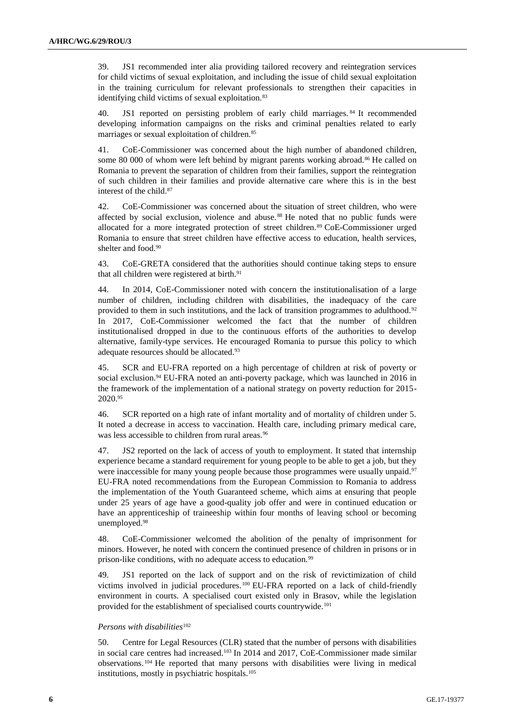39. JS1 recommended inter alia providing tailored recovery and reintegration services for child victims of sexual exploitation, and including the issue of child sexual exploitation in the training curriculum for relevant professionals to strengthen their capacities in identifying child victims of sexual exploitation.<sup>83</sup>

40. JS1 reported on persisting problem of early child marriages. <sup>84</sup> It recommended developing information campaigns on the risks and criminal penalties related to early marriages or sexual exploitation of children.<sup>85</sup>

41. CoE-Commissioner was concerned about the high number of abandoned children, some 80 000 of whom were left behind by migrant parents working abroad.<sup>86</sup> He called on Romania to prevent the separation of children from their families, support the reintegration of such children in their families and provide alternative care where this is in the best interest of the child.<sup>87</sup>

42. CoE-Commissioner was concerned about the situation of street children, who were affected by social exclusion, violence and abuse. <sup>88</sup> He noted that no public funds were allocated for a more integrated protection of street children.<sup>89</sup> CoE-Commissioner urged Romania to ensure that street children have effective access to education, health services, shelter and food.<sup>90</sup>

43. CoE-GRETA considered that the authorities should continue taking steps to ensure that all children were registered at birth.<sup>91</sup>

44. In 2014, CoE-Commissioner noted with concern the institutionalisation of a large number of children, including children with disabilities, the inadequacy of the care provided to them in such institutions, and the lack of transition programmes to adulthood.<sup>92</sup> In 2017, CoE-Commissioner welcomed the fact that the number of children institutionalised dropped in due to the continuous efforts of the authorities to develop alternative, family-type services. He encouraged Romania to pursue this policy to which adequate resources should be allocated.<sup>93</sup>

45. SCR and EU-FRA reported on a high percentage of children at risk of poverty or social exclusion.<sup>94</sup> EU-FRA noted an anti-poverty package, which was launched in 2016 in the framework of the implementation of a national strategy on poverty reduction for 2015- 2020.<sup>95</sup>

46. SCR reported on a high rate of infant mortality and of mortality of children under 5. It noted a decrease in access to vaccination. Health care, including primary medical care, was less accessible to children from rural areas.<sup>96</sup>

47. JS2 reported on the lack of access of youth to employment. It stated that internship experience became a standard requirement for young people to be able to get a job, but they were inaccessible for many young people because those programmes were usually unpaid.<sup>97</sup> EU-FRA noted recommendations from the European Commission to Romania to address the implementation of the Youth Guaranteed scheme, which aims at ensuring that people under 25 years of age have a good-quality job offer and were in continued education or have an apprenticeship of traineeship within four months of leaving school or becoming unemployed.<sup>98</sup>

48. CoE-Commissioner welcomed the abolition of the penalty of imprisonment for minors. However, he noted with concern the continued presence of children in prisons or in prison-like conditions, with no adequate access to education.<sup>99</sup>

JS1 reported on the lack of support and on the risk of revictimization of child victims involved in judicial procedures.<sup>100</sup> EU-FRA reported on a lack of child-friendly environment in courts. A specialised court existed only in Brasov, while the legislation provided for the establishment of specialised courts countrywide.<sup>101</sup>

#### *Persons with disabilities*<sup>102</sup>

50. Centre for Legal Resources (CLR) stated that the number of persons with disabilities in social care centres had increased.<sup>103</sup> In 2014 and 2017, CoE-Commissioner made similar observations. <sup>104</sup> He reported that many persons with disabilities were living in medical institutions, mostly in psychiatric hospitals.<sup>105</sup>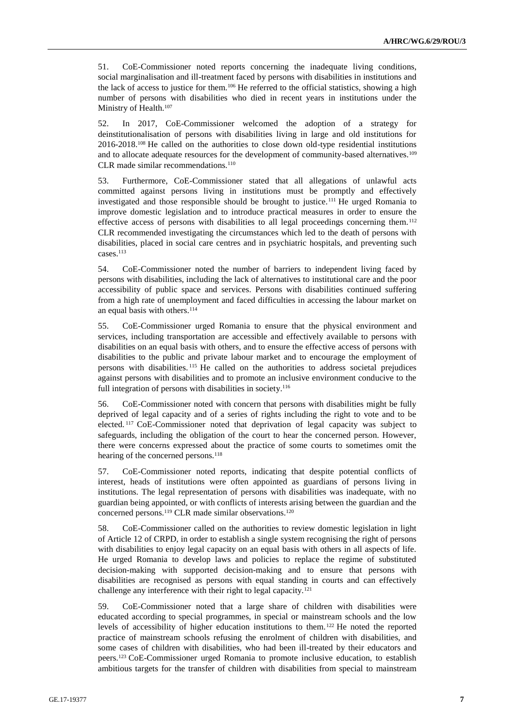51. CoE-Commissioner noted reports concerning the inadequate living conditions, social marginalisation and ill-treatment faced by persons with disabilities in institutions and the lack of access to justice for them.<sup>106</sup> He referred to the official statistics, showing a high number of persons with disabilities who died in recent years in institutions under the Ministry of Health.<sup>107</sup>

52. In 2017, CoE-Commissioner welcomed the adoption of a strategy for deinstitutionalisation of persons with disabilities living in large and old institutions for 2016-2018. <sup>108</sup> He called on the authorities to close down old-type residential institutions and to allocate adequate resources for the development of community-based alternatives.<sup>109</sup> CLR made similar recommendations.<sup>110</sup>

53. Furthermore, CoE-Commissioner stated that all allegations of unlawful acts committed against persons living in institutions must be promptly and effectively investigated and those responsible should be brought to justice.<sup>111</sup> He urged Romania to improve domestic legislation and to introduce practical measures in order to ensure the effective access of persons with disabilities to all legal proceedings concerning them.<sup>112</sup> CLR recommended investigating the circumstances which led to the death of persons with disabilities, placed in social care centres and in psychiatric hospitals, and preventing such cases.<sup>113</sup>

54. CoE-Commissioner noted the number of barriers to independent living faced by persons with disabilities, including the lack of alternatives to institutional care and the poor accessibility of public space and services. Persons with disabilities continued suffering from a high rate of unemployment and faced difficulties in accessing the labour market on an equal basis with others.<sup>114</sup>

55. CoE-Commissioner urged Romania to ensure that the physical environment and services, including transportation are accessible and effectively available to persons with disabilities on an equal basis with others, and to ensure the effective access of persons with disabilities to the public and private labour market and to encourage the employment of persons with disabilities. <sup>115</sup> He called on the authorities to address societal prejudices against persons with disabilities and to promote an inclusive environment conducive to the full integration of persons with disabilities in society.<sup>116</sup>

56. CoE-Commissioner noted with concern that persons with disabilities might be fully deprived of legal capacity and of a series of rights including the right to vote and to be elected. <sup>117</sup> CoE-Commissioner noted that deprivation of legal capacity was subject to safeguards, including the obligation of the court to hear the concerned person. However, there were concerns expressed about the practice of some courts to sometimes omit the hearing of the concerned persons.<sup>118</sup>

57. CoE-Commissioner noted reports, indicating that despite potential conflicts of interest, heads of institutions were often appointed as guardians of persons living in institutions. The legal representation of persons with disabilities was inadequate, with no guardian being appointed, or with conflicts of interests arising between the guardian and the concerned persons.<sup>119</sup> CLR made similar observations.<sup>120</sup>

58. CoE-Commissioner called on the authorities to review domestic legislation in light of Article 12 of CRPD, in order to establish a single system recognising the right of persons with disabilities to enjoy legal capacity on an equal basis with others in all aspects of life. He urged Romania to develop laws and policies to replace the regime of substituted decision-making with supported decision-making and to ensure that persons with disabilities are recognised as persons with equal standing in courts and can effectively challenge any interference with their right to legal capacity.<sup>121</sup>

59. CoE-Commissioner noted that a large share of children with disabilities were educated according to special programmes, in special or mainstream schools and the low levels of accessibility of higher education institutions to them. <sup>122</sup> He noted the reported practice of mainstream schools refusing the enrolment of children with disabilities, and some cases of children with disabilities, who had been ill-treated by their educators and peers.<sup>123</sup> CoE-Commissioner urged Romania to promote inclusive education, to establish ambitious targets for the transfer of children with disabilities from special to mainstream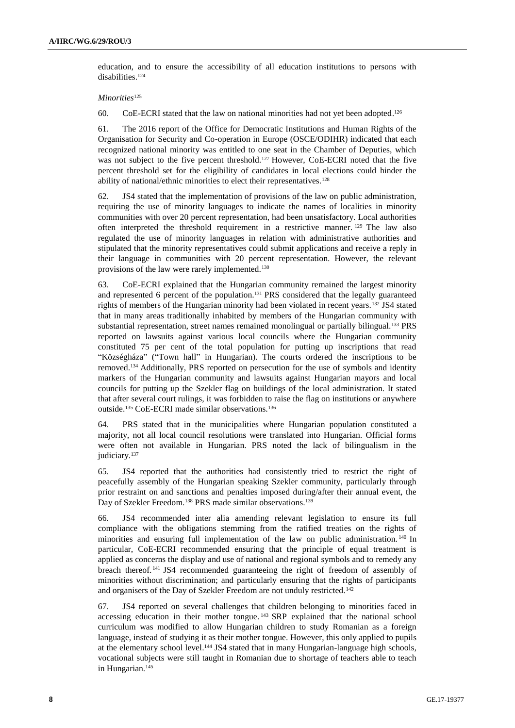education, and to ensure the accessibility of all education institutions to persons with disabilities.<sup>124</sup>

*Minorities*<sup>125</sup>

60. CoE-ECRI stated that the law on national minorities had not yet been adopted. 126

61. The 2016 report of the Office for Democratic Institutions and Human Rights of the Organisation for Security and Co-operation in Europe (OSCE/ODIHR) indicated that each recognized national minority was entitled to one seat in the Chamber of Deputies, which was not subject to the five percent threshold.<sup>127</sup> However, CoE-ECRI noted that the five percent threshold set for the eligibility of candidates in local elections could hinder the ability of national/ethnic minorities to elect their representatives.<sup>128</sup>

62. JS4 stated that the implementation of provisions of the law on public administration, requiring the use of minority languages to indicate the names of localities in minority communities with over 20 percent representation, had been unsatisfactory. Local authorities often interpreted the threshold requirement in a restrictive manner. <sup>129</sup> The law also regulated the use of minority languages in relation with administrative authorities and stipulated that the minority representatives could submit applications and receive a reply in their language in communities with 20 percent representation. However, the relevant provisions of the law were rarely implemented.<sup>130</sup>

63. CoE-ECRI explained that the Hungarian community remained the largest minority and represented 6 percent of the population.<sup>131</sup> PRS considered that the legally guaranteed rights of members of the Hungarian minority had been violated in recent years.<sup>132</sup> JS4 stated that in many areas traditionally inhabited by members of the Hungarian community with substantial representation, street names remained monolingual or partially bilingual.<sup>133</sup> PRS reported on lawsuits against various local councils where the Hungarian community constituted 75 per cent of the total population for putting up inscriptions that read "Községháza" ("Town hall" in Hungarian). The courts ordered the inscriptions to be removed.<sup>134</sup> Additionally, PRS reported on persecution for the use of symbols and identity markers of the Hungarian community and lawsuits against Hungarian mayors and local councils for putting up the Szekler flag on buildings of the local administration. It stated that after several court rulings, it was forbidden to raise the flag on institutions or anywhere outside.<sup>135</sup> CoE-ECRI made similar observations.<sup>136</sup>

64. PRS stated that in the municipalities where Hungarian population constituted a majority, not all local council resolutions were translated into Hungarian. Official forms were often not available in Hungarian. PRS noted the lack of bilingualism in the judiciary.<sup>137</sup>

65. JS4 reported that the authorities had consistently tried to restrict the right of peacefully assembly of the Hungarian speaking Szekler community, particularly through prior restraint on and sanctions and penalties imposed during/after their annual event, the Day of Szekler Freedom.<sup>138</sup> PRS made similar observations.<sup>139</sup>

66. JS4 recommended inter alia amending relevant legislation to ensure its full compliance with the obligations stemming from the ratified treaties on the rights of minorities and ensuring full implementation of the law on public administration. <sup>140</sup> In particular, CoE-ECRI recommended ensuring that the principle of equal treatment is applied as concerns the display and use of national and regional symbols and to remedy any breach thereof. <sup>141</sup> JS4 recommended guaranteeing the right of freedom of assembly of minorities without discrimination; and particularly ensuring that the rights of participants and organisers of the Day of Szekler Freedom are not unduly restricted.<sup>142</sup>

67. JS4 reported on several challenges that children belonging to minorities faced in accessing education in their mother tongue. <sup>143</sup> SRP explained that the national school curriculum was modified to allow Hungarian children to study Romanian as a foreign language, instead of studying it as their mother tongue. However, this only applied to pupils at the elementary school level.<sup>144</sup> JS4 stated that in many Hungarian-language high schools, vocational subjects were still taught in Romanian due to shortage of teachers able to teach in Hungarian.<sup>145</sup>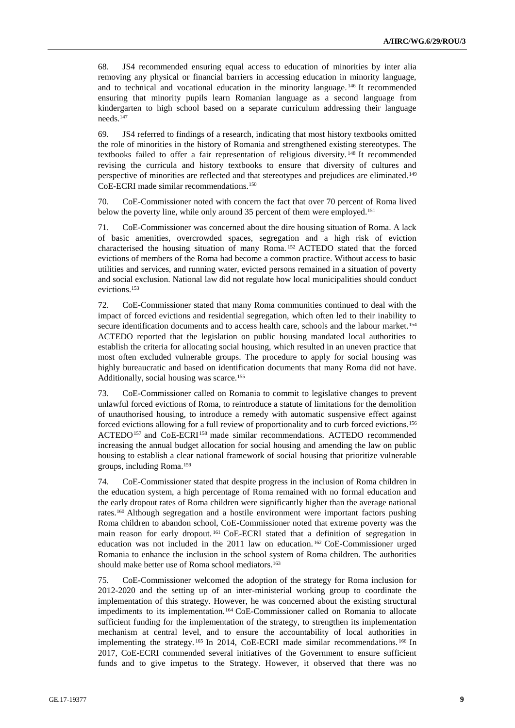68. JS4 recommended ensuring equal access to education of minorities by inter alia removing any physical or financial barriers in accessing education in minority language, and to technical and vocational education in the minority language. <sup>146</sup> It recommended ensuring that minority pupils learn Romanian language as a second language from kindergarten to high school based on a separate curriculum addressing their language needs.<sup>147</sup>

69. JS4 referred to findings of a research, indicating that most history textbooks omitted the role of minorities in the history of Romania and strengthened existing stereotypes. The textbooks failed to offer a fair representation of religious diversity. <sup>148</sup> It recommended revising the curricula and history textbooks to ensure that diversity of cultures and perspective of minorities are reflected and that stereotypes and prejudices are eliminated.<sup>149</sup> CoE-ECRI made similar recommendations.<sup>150</sup>

70. CoE-Commissioner noted with concern the fact that over 70 percent of Roma lived below the poverty line, while only around 35 percent of them were employed.<sup>151</sup>

71. CoE-Commissioner was concerned about the dire housing situation of Roma. A lack of basic amenities, overcrowded spaces, segregation and a high risk of eviction characterised the housing situation of many Roma. <sup>152</sup> ACTEDO stated that the forced evictions of members of the Roma had become a common practice. Without access to basic utilities and services, and running water, evicted persons remained in a situation of poverty and social exclusion. National law did not regulate how local municipalities should conduct evictions.<sup>153</sup>

72. CoE-Commissioner stated that many Roma communities continued to deal with the impact of forced evictions and residential segregation, which often led to their inability to secure identification documents and to access health care, schools and the labour market.<sup>154</sup> ACTEDO reported that the legislation on public housing mandated local authorities to establish the criteria for allocating social housing, which resulted in an uneven practice that most often excluded vulnerable groups. The procedure to apply for social housing was highly bureaucratic and based on identification documents that many Roma did not have. Additionally, social housing was scarce.<sup>155</sup>

73. CoE-Commissioner called on Romania to commit to legislative changes to prevent unlawful forced evictions of Roma, to reintroduce a statute of limitations for the demolition of unauthorised housing, to introduce a remedy with automatic suspensive effect against forced evictions allowing for a full review of proportionality and to curb forced evictions.<sup>156</sup> ACTEDO<sup>157</sup> and CoE-ECRI<sup>158</sup> made similar recommendations. ACTEDO recommended increasing the annual budget allocation for social housing and amending the law on public housing to establish a clear national framework of social housing that prioritize vulnerable groups, including Roma.<sup>159</sup>

74. CoE-Commissioner stated that despite progress in the inclusion of Roma children in the education system, a high percentage of Roma remained with no formal education and the early dropout rates of Roma children were significantly higher than the average national rates.<sup>160</sup> Although segregation and a hostile environment were important factors pushing Roma children to abandon school, CoE-Commissioner noted that extreme poverty was the main reason for early dropout. <sup>161</sup> CoE-ECRI stated that a definition of segregation in education was not included in the 2011 law on education. <sup>162</sup> CoE-Commissioner urged Romania to enhance the inclusion in the school system of Roma children. The authorities should make better use of Roma school mediators.<sup>163</sup>

75. CoE-Commissioner welcomed the adoption of the strategy for Roma inclusion for 2012-2020 and the setting up of an inter-ministerial working group to coordinate the implementation of this strategy. However, he was concerned about the existing structural impediments to its implementation.<sup>164</sup> CoE-Commissioner called on Romania to allocate sufficient funding for the implementation of the strategy, to strengthen its implementation mechanism at central level, and to ensure the accountability of local authorities in implementing the strategy. <sup>165</sup> In 2014, CoE-ECRI made similar recommendations. <sup>166</sup> In 2017, CoE-ECRI commended several initiatives of the Government to ensure sufficient funds and to give impetus to the Strategy. However, it observed that there was no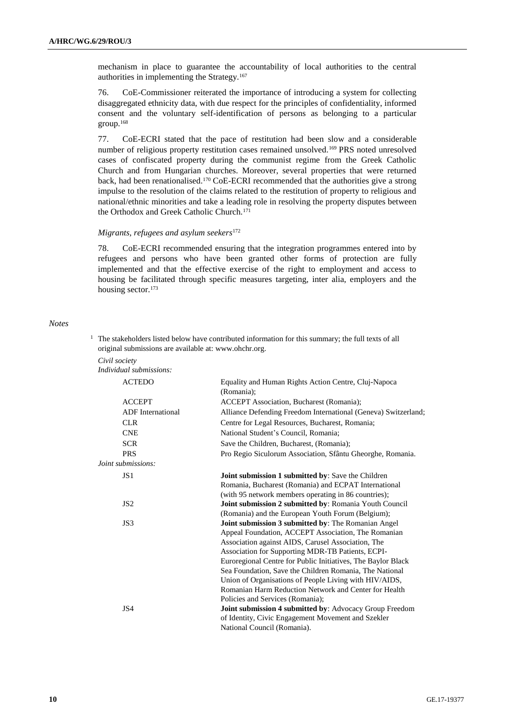mechanism in place to guarantee the accountability of local authorities to the central authorities in implementing the Strategy.<sup>167</sup>

76. CoE-Commissioner reiterated the importance of introducing a system for collecting disaggregated ethnicity data, with due respect for the principles of confidentiality, informed consent and the voluntary self-identification of persons as belonging to a particular group.<sup>168</sup>

77. CoE-ECRI stated that the pace of restitution had been slow and a considerable number of religious property restitution cases remained unsolved.<sup>169</sup> PRS noted unresolved cases of confiscated property during the communist regime from the Greek Catholic Church and from Hungarian churches. Moreover, several properties that were returned back, had been renationalised.<sup>170</sup> CoE-ECRI recommended that the authorities give a strong impulse to the resolution of the claims related to the restitution of property to religious and national/ethnic minorities and take a leading role in resolving the property disputes between the Orthodox and Greek Catholic Church.<sup>171</sup>

#### *Migrants, refugees and asylum seekers*<sup>172</sup>

78. CoE-ECRI recommended ensuring that the integration programmes entered into by refugees and persons who have been granted other forms of protection are fully implemented and that the effective exercise of the right to employment and access to housing be facilitated through specific measures targeting, inter alia, employers and the housing sector.<sup>173</sup>

#### *Notes*

| <sup>1</sup> The stakeholders listed below have contributed information for this summary; the full texts of all |
|-----------------------------------------------------------------------------------------------------------------|
| original submissions are available at: www.ohchr.org.                                                           |
| Civil society                                                                                                   |

*Individual submissions:* ACTEDO Equality and Human Rights Action Centre, Cluj-Napoca (Romania); ACCEPT ACCEPT Association, Bucharest (Romania); ADF International Alliance Defending Freedom International (Geneva) Switzerland; CLR Centre for Legal Resources, Bucharest, Romania; CNE National Student's Council, Romania; SCR Save the Children, Bucharest, (Romania); PRS Pro Regio Siculorum Association, Sfântu Gheorghe, Romania. *Joint submissions:* JS1 **Joint submission 1 submitted by**: Save the Children Romania, Bucharest (Romania) and ECPAT International (with 95 network members operating in 86 countries); JS2 **Joint submission 2 submitted by**: Romania Youth Council (Romania) and the European Youth Forum (Belgium); JS3 **Joint submission 3 submitted by**: The Romanian Angel Appeal Foundation, ACCEPT Association, The Romanian Association against AIDS, Carusel Association, The Association for Supporting MDR-TB Patients, ECPI-Euroregional Centre for Public Initiatives, The Baylor Black Sea Foundation, Save the Children Romania, The National Union of Organisations of People Living with HIV/AIDS, Romanian Harm Reduction Network and Center for Health Policies and Services (Romania); JS4 **Joint submission 4 submitted by**: Advocacy Group Freedom of Identity, Civic Engagement Movement and Szekler National Council (Romania).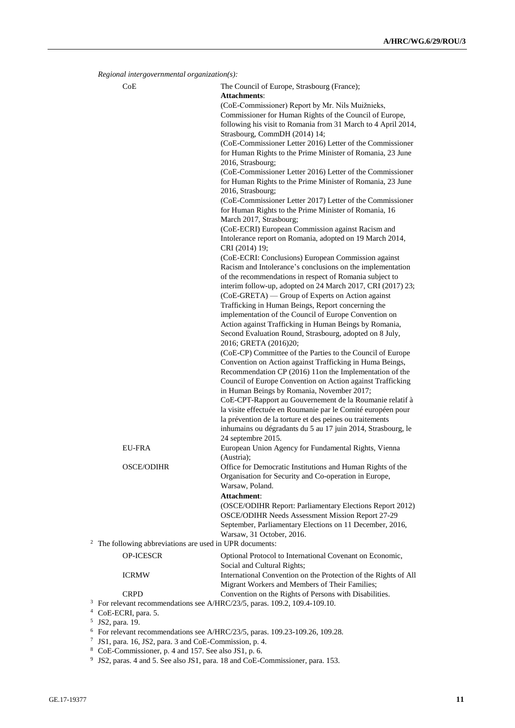| Regional intergovernmental organization(s):                         |                                                                                                                                                                                   |
|---------------------------------------------------------------------|-----------------------------------------------------------------------------------------------------------------------------------------------------------------------------------|
| CoE                                                                 | The Council of Europe, Strasbourg (France);                                                                                                                                       |
|                                                                     | <b>Attachments:</b>                                                                                                                                                               |
|                                                                     | (CoE-Commissioner) Report by Mr. Nils Muižnieks,                                                                                                                                  |
|                                                                     | Commissioner for Human Rights of the Council of Europe,                                                                                                                           |
|                                                                     | following his visit to Romania from 31 March to 4 April 2014,<br>Strasbourg, CommDH (2014) 14;                                                                                    |
|                                                                     | (CoE-Commissioner Letter 2016) Letter of the Commissioner                                                                                                                         |
|                                                                     | for Human Rights to the Prime Minister of Romania, 23 June                                                                                                                        |
|                                                                     | 2016, Strasbourg;                                                                                                                                                                 |
|                                                                     | (CoE-Commissioner Letter 2016) Letter of the Commissioner<br>for Human Rights to the Prime Minister of Romania, 23 June                                                           |
|                                                                     | 2016, Strasbourg;                                                                                                                                                                 |
|                                                                     | (CoE-Commissioner Letter 2017) Letter of the Commissioner<br>for Human Rights to the Prime Minister of Romania, 16                                                                |
|                                                                     | March 2017, Strasbourg;                                                                                                                                                           |
|                                                                     | (CoE-ECRI) European Commission against Racism and<br>Intolerance report on Romania, adopted on 19 March 2014,<br>CRI (2014) 19;                                                   |
|                                                                     | (CoE-ECRI: Conclusions) European Commission against                                                                                                                               |
|                                                                     | Racism and Intolerance's conclusions on the implementation<br>of the recommendations in respect of Romania subject to                                                             |
|                                                                     | interim follow-up, adopted on 24 March 2017, CRI (2017) 23;<br>(CoE-GRETA) — Group of Experts on Action against                                                                   |
|                                                                     | Trafficking in Human Beings, Report concerning the                                                                                                                                |
|                                                                     | implementation of the Council of Europe Convention on                                                                                                                             |
|                                                                     | Action against Trafficking in Human Beings by Romania,                                                                                                                            |
|                                                                     | Second Evaluation Round, Strasbourg, adopted on 8 July,                                                                                                                           |
|                                                                     | 2016; GRETA (2016)20;                                                                                                                                                             |
|                                                                     | (CoE-CP) Committee of the Parties to the Council of Europe                                                                                                                        |
|                                                                     | Convention on Action against Trafficking in Huma Beings,<br>Recommendation CP (2016) 11on the Implementation of the<br>Council of Europe Convention on Action against Trafficking |
|                                                                     | in Human Beings by Romania, November 2017;<br>CoE-CPT-Rapport au Gouvernement de la Roumanie relatif à                                                                            |
|                                                                     | la visite effectuée en Roumanie par le Comité européen pour<br>la prévention de la torture et des peines ou traitements                                                           |
|                                                                     | inhumains ou dégradants du 5 au 17 juin 2014, Strasbourg, le<br>24 septembre 2015.                                                                                                |
| <b>EU-FRA</b>                                                       | European Union Agency for Fundamental Rights, Vienna<br>(Austria);                                                                                                                |
| <b>OSCE/ODIHR</b>                                                   | Office for Democratic Institutions and Human Rights of the                                                                                                                        |
|                                                                     | Organisation for Security and Co-operation in Europe,                                                                                                                             |
|                                                                     | Warsaw, Poland.                                                                                                                                                                   |
|                                                                     | Attachment:                                                                                                                                                                       |
|                                                                     | (OSCE/ODIHR Report: Parliamentary Elections Report 2012)<br>OSCE/ODIHR Needs Assessment Mission Report 27-29                                                                      |
|                                                                     | September, Parliamentary Elections on 11 December, 2016,                                                                                                                          |
|                                                                     | Warsaw, 31 October, 2016.                                                                                                                                                         |
| <sup>2</sup> The following abbreviations are used in UPR documents: |                                                                                                                                                                                   |
| <b>OP-ICESCR</b>                                                    | Optional Protocol to International Covenant on Economic,<br>Social and Cultural Rights;                                                                                           |
| <b>ICRMW</b>                                                        | International Convention on the Protection of the Rights of All<br>Migrant Workers and Members of Their Families;                                                                 |
| <b>CRPD</b>                                                         | Convention on the Rights of Persons with Disabilities.                                                                                                                            |
|                                                                     | <sup>3</sup> For relevant recommendations see A/HRC/23/5, paras. 109.2, 109.4-109.10.                                                                                             |
| <sup>4</sup> CoE-ECRI, para. 5.                                     |                                                                                                                                                                                   |
| JS2, para. 19.                                                      |                                                                                                                                                                                   |
|                                                                     | $6$ For relevant recommendations see A/HRC/23/5, paras. 109.23-109.26, 109.28.                                                                                                    |
| JS1, para. 16, JS2, para. 3 and CoE-Commission, p. 4.               |                                                                                                                                                                                   |

<sup>8</sup> CoE-Commissioner, p. 4 and 157. See also JS1, p. 6. 9 JS2, paras. 4 and 5. See also JS1, para. 18 and CoE-Commissioner, para. 153.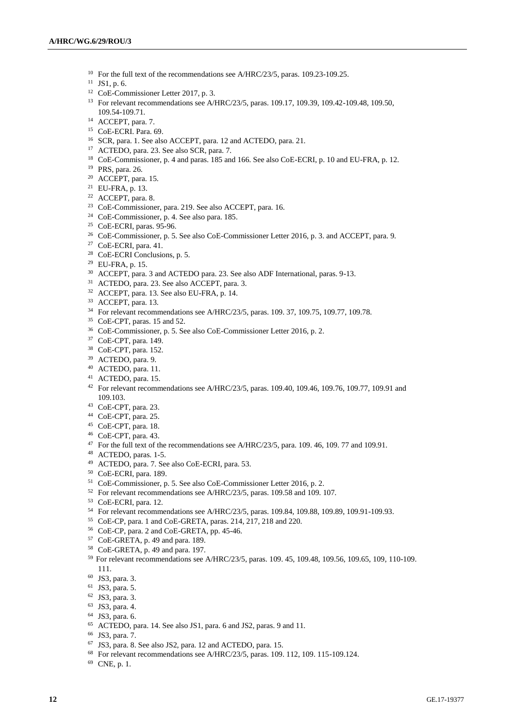- <sup>10</sup> For the full text of the recommendations see A/HRC/23/5, paras. 109.23-109.25.
- JS1, p. 6.
- CoE-Commissioner Letter 2017, p. 3.
- For relevant recommendations see A/HRC/23/5, paras. 109.17, 109.39, 109.42-109.48, 109.50, 109.54-109.71.
- <sup>14</sup> ACCEPT, para. 7.
- CoE-ECRI. Para. 69.
- SCR, para. 1. See also ACCEPT, para. 12 and ACTEDO, para. 21.
- ACTEDO, para. 23. See also SCR, para. 7.
- CoE-Commissioner, p. 4 and paras. 185 and 166. See also CoE-ECRI, p. 10 and EU-FRA, p. 12.
- PRS, para. 26.
- ACCEPT, para. 15.
- EU-FRA, p. 13.
- ACCEPT, para. 8.
- CoE-Commissioner, para. 219. See also ACCEPT, para. 16.
- CoE-Commissioner, p. 4. See also para. 185.
- CoE-ECRI, paras. 95-96.
- <sup>26</sup> CoE-Commissioner, p. 5. See also CoE-Commissioner Letter 2016, p. 3. and ACCEPT, para. 9.
- CoE-ECRI, para. 41.
- CoE-ECRI Conclusions, p. 5.
- EU-FRA, p. 15. ACCEPT, para. 3 and ACTEDO para. 23. See also ADF International, paras. 9-13.
- ACTEDO, para. 23. See also ACCEPT, para. 3.
- ACCEPT, para. 13. See also EU-FRA, p. 14.
- ACCEPT, para. 13.
- For relevant recommendations see A/HRC/23/5, paras. 109. 37, 109.75, 109.77, 109.78.
- CoE-CPT, paras. 15 and 52.
- CoE-Commissioner, p. 5. See also CoE-Commissioner Letter 2016, p. 2.
- CoE-CPT, para. 149.
- CoE-CPT, para. 152.
- ACTEDO, para. 9.
- ACTEDO, para. 11.
- ACTEDO, para. 15.
- For relevant recommendations see A/HRC/23/5, paras. 109.40, 109.46, 109.76, 109.77, 109.91 and 109.103.
- CoE-CPT, para. 23.
- CoE-CPT, para. 25.
- CoE-CPT, para. 18.
- CoE-CPT, para. 43.
- <sup>47</sup> For the full text of the recommendations see A/HRC/23/5, para. 109. 46, 109. 77 and 109.91.
- ACTEDO, paras. 1-5.
- ACTEDO, para. 7. See also CoE-ECRI, para. 53.
- CoE-ECRI, para. 189.
- CoE-Commissioner, p. 5. See also CoE-Commissioner Letter 2016, p. 2.
- For relevant recommendations see A/HRC/23/5, paras. 109.58 and 109. 107.
- CoE-ECRI, para. 12.
- For relevant recommendations see A/HRC/23/5, paras. 109.84, 109.88, 109.89, 109.91-109.93.
- CoE-CP, para. 1 and CoE-GRETA, paras. 214, 217, 218 and 220.
- CoE-CP, para. 2 and CoE-GRETA, pp. 45-46.
- CoE-GRETA, p. 49 and para. 189.
- CoE-GRETA, p. 49 and para. 197.
- For relevant recommendations see A/HRC/23/5, paras. 109. 45, 109.48, 109.56, 109.65, 109, 110-109. 111.
- JS3, para. 3.
- JS3, para. 5.
- JS3, para. 3.
- JS3, para. 4.
- JS3, para. 6.
- ACTEDO, para. 14. See also JS1, para. 6 and JS2, paras. 9 and 11.
- JS3, para. 7.
- JS3, para. 8. See also JS2, para. 12 and ACTEDO, para. 15.
- For relevant recommendations see A/HRC/23/5, paras. 109. 112, 109. 115-109.124.
- CNE, p. 1.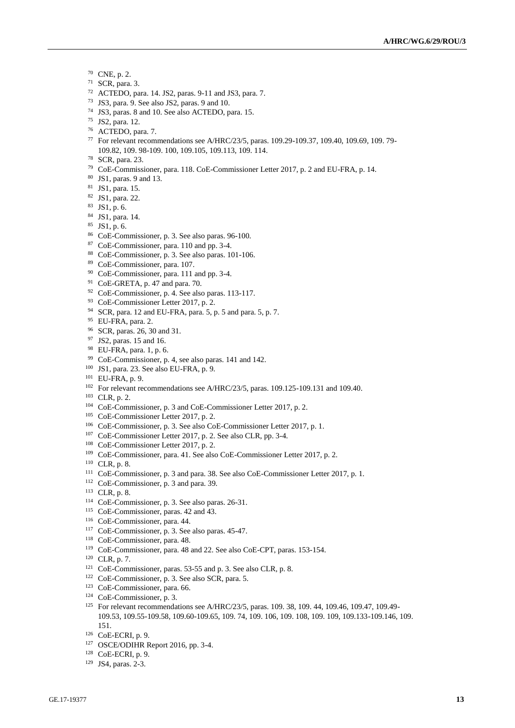- CNE, p. 2.
- SCR, para. 3.
- ACTEDO, para. 14. JS2, paras. 9-11 and JS3, para. 7.
- JS3, para. 9. See also JS2, paras. 9 and 10.
- JS3, paras. 8 and 10. See also ACTEDO, para. 15.
- JS2, para. 12.
- ACTEDO, para. 7.
- For relevant recommendations see A/HRC/23/5, paras. 109.29-109.37, 109.40, 109.69, 109. 79- 109.82, 109. 98-109. 100, 109.105, 109.113, 109. 114.
- SCR, para. 23.
- CoE-Commissioner, para. 118. CoE-Commissioner Letter 2017, p. 2 and EU-FRA, p. 14.
- JS1, paras. 9 and 13.
- JS1, para. 15.
- JS1, para. 22.
- JS1, p. 6.
- JS1, para. 14.
- JS1, p. 6.
- CoE-Commissioner, p. 3. See also paras. 96-100.
- CoE-Commissioner, para. 110 and pp. 3-4.
- CoE-Commissioner, p. 3. See also paras. 101-106.
- CoE-Commissioner, para. 107.
- CoE-Commissioner, para. 111 and pp. 3-4.
- CoE-GRETA, p. 47 and para. 70.
- CoE-Commissioner, p. 4. See also paras. 113-117.
- CoE-Commissioner Letter 2017, p. 2.
- SCR, para. 12 and EU-FRA, para. 5, p. 5 and para. 5, p. 7.
- EU-FRA, para. 2.
- SCR, paras. 26, 30 and 31.
- <sup>97</sup> JS2, paras. 15 and 16.
- EU-FRA, para. 1, p. 6.
- CoE-Commissioner, p. 4, see also paras. 141 and 142.
- JS1, para. 23. See also EU-FRA, p. 9.
- EU-FRA, p. 9.
- For relevant recommendations see A/HRC/23/5, paras. 109.125-109.131 and 109.40.
- CLR, p. 2.
- CoE-Commissioner, p. 3 and CoE-Commissioner Letter 2017, p. 2.
- CoE-Commissioner Letter 2017, p. 2.
- CoE-Commissioner, p. 3. See also CoE-Commissioner Letter 2017, p. 1.
- CoE-Commissioner Letter 2017, p. 2. See also CLR, pp. 3-4.
- CoE-Commissioner Letter 2017, p. 2.
- CoE-Commissioner, para. 41. See also CoE-Commissioner Letter 2017, p. 2.
- CLR, p. 8.
- CoE-Commissioner, p. 3 and para. 38. See also CoE-Commissioner Letter 2017, p. 1.
- CoE-Commissioner, p. 3 and para. 39.
- CLR, p. 8.
- CoE-Commissioner, p. 3. See also paras. 26-31.
- CoE-Commissioner, paras. 42 and 43.
- CoE-Commissioner, para. 44.
- CoE-Commissioner, p. 3. See also paras. 45-47.
- CoE-Commissioner, para. 48.
- CoE-Commissioner, para. 48 and 22. See also CoE-CPT, paras. 153-154.
- CLR, p. 7.
- CoE-Commissioner, paras. 53-55 and p. 3. See also CLR, p. 8.
- CoE-Commissioner, p. 3. See also SCR, para. 5.
- CoE-Commissioner, para. 66.
- CoE-Commissioner, p. 3.
- <sup>125</sup> For relevant recommendations see A/HRC/23/5, paras. 109. 38, 109. 44, 109.46, 109.47, 109.49-109.53, 109.55-109.58, 109.60-109.65, 109. 74, 109. 106, 109. 108, 109. 109, 109.133-109.146, 109. 151.
- CoE-ECRI, p. 9.
- OSCE/ODIHR Report 2016, pp. 3-4.
- CoE-ECRI, p. 9.
- JS4, paras. 2-3.